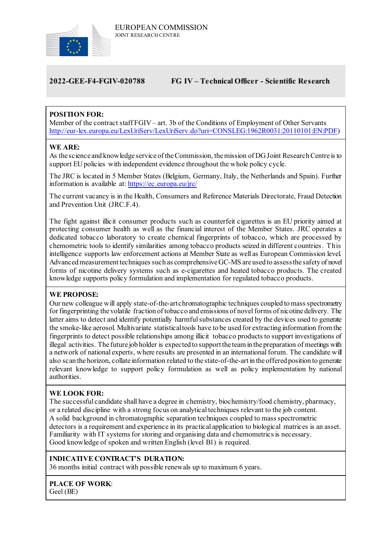

# **2022-GEE-F4-FGIV-020788 FG IV – Technical Officer - Scientific Research**

# **POSITION FOR:**

Member of the contract staff FGIV– art. 3b of the Conditions of Employment of Other Servants [http://eur-lex.europa.eu/LexUriServ/LexUriServ.do?uri=CONSLEG:1962R0031:20110101:EN:PDF\)](http://eur-lex.europa.eu/LexUriServ/LexUriServ.do?uri=CONSLEG:1962R0031:20110101:EN:PDF)

### **WE ARE:**

As the science and knowledge service of the Commission, the mission of DG Joint Research Centre is to support EU policies with independent evidence throughout the whole policy cycle.

The JRC is located in 5 Member States (Belgium, Germany, Italy, the Netherlands and Spain). Further information is available at: <https://ec.europa.eu/jrc/>

The current vacancy is in the Health, Consumers and Reference Materials Directorate, Fraud Detection and Prevention Unit (JRC.F.4).

The fight against illicit consumer products such as counterfeit cigarettes is an EU priority aimed at protecting consumer health as well as the financial interest of the Member States. JRC operates a dedicated tobacco laboratory to create chemical fingerprints of tobacco, which are processed by chemometric tools to identify similarities among tobacco products seized in different countries. This intelligence supports law enforcement actions at Member State as well as European Commission level. Advanced measurement techniques such as comprehensive GC-MS are used to assess the safety of novel forms of nicotine delivery systems such as e-cigarettes and heated tobacco products. The created knowledge supports policy formulation and implementation for regulated tobacco products.

### **WE PROPOSE:**

Our new colleague will apply state-of-the-art chromatographic techniques coupled to mass spectrometry for fingerprinting the volatile fraction of tobacco and emissions of novel forms of nicotine delivery. The latter aims to detect and identify potentially harmful substances created by the devices used to generate the smoke-like aerosol. Multivariate statistical tools have to be used for extracting information from the fingerprints to detect possible relationships among illicit tobacco productsto support investigations of illegal activities. The future job holder is expected to support the team in the preparation of meetings with a network of national experts, where results are presented in an international forum. The candidate will also scan the horizon, collate information related to the state-of-the-art in the offered position to generate relevant knowledge to support policy formulation as well as policy implementation by national authorities.

### **WE LOOK FOR:**

The successful candidate shall have a degree in chemistry, biochemistry/food chemistry, pharmacy, or a related discipline with a strong focus on analytical techniques relevant to the job content. A solid background in chromatographic separation techniques coupled to mass spectrometric detectors is a requirement and experience in its practical application to biological matrices is an asset. Familiarity with IT systems for storing and organising data and chemometrics is necessary. Good knowledge of spoken and written English (level B1) is required.

### **INDICATIVE CONTRACT'S DURATION:**

36 months initial contract with possible renewals up to maximum 6 years.

### **PLACE OF WORK**:

Geel (BE)